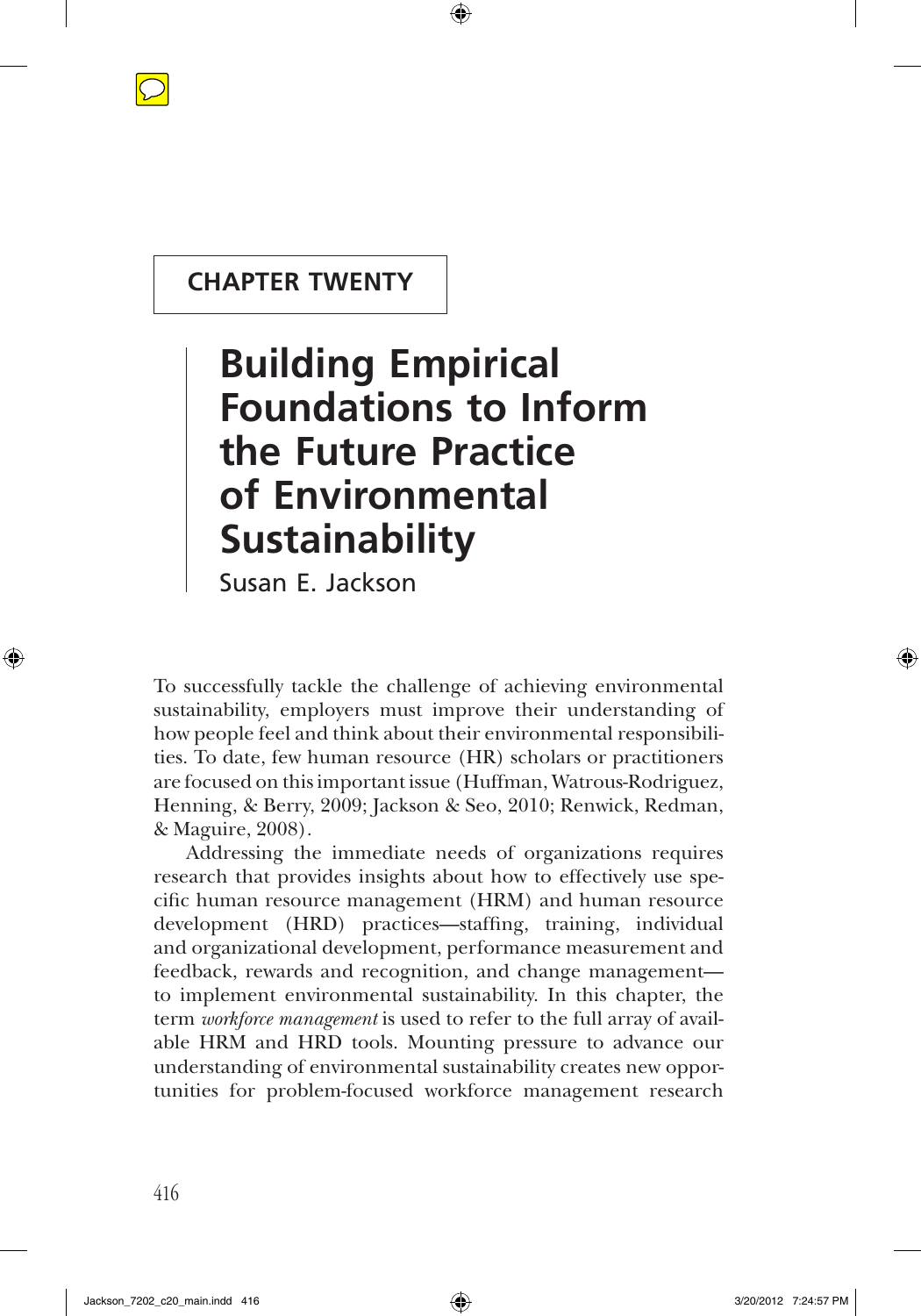

# **CHAPTER TWENTY**

# **Building Empirical Foundations to Inform the Future Practice of Environmental Sustainability**

⊕

Susan E. Jackson

To successfully tackle the challenge of achieving environmental sustainability, employers must improve their understanding of how people feel and think about their environmental responsibilities. To date, few human resource (HR) scholars or practitioners are focused on this important issue (Huffman, Watrous-Rodriguez, Henning, & Berry, 2009; Jackson & Seo, 2010; Renwick, Redman, & Maguire, 2008).

Addressing the immediate needs of organizations requires research that provides insights about how to effectively use specific human resource management (HRM) and human resource development (HRD) practices—staffing, training, individual and organizational development, performance measurement and feedback, rewards and recognition, and change management to implement environmental sustainability. In this chapter, the term *workforce management* is used to refer to the full array of available HRM and HRD tools. Mounting pressure to advance our understanding of environmental sustainability creates new opportunities for problem-focused workforce management research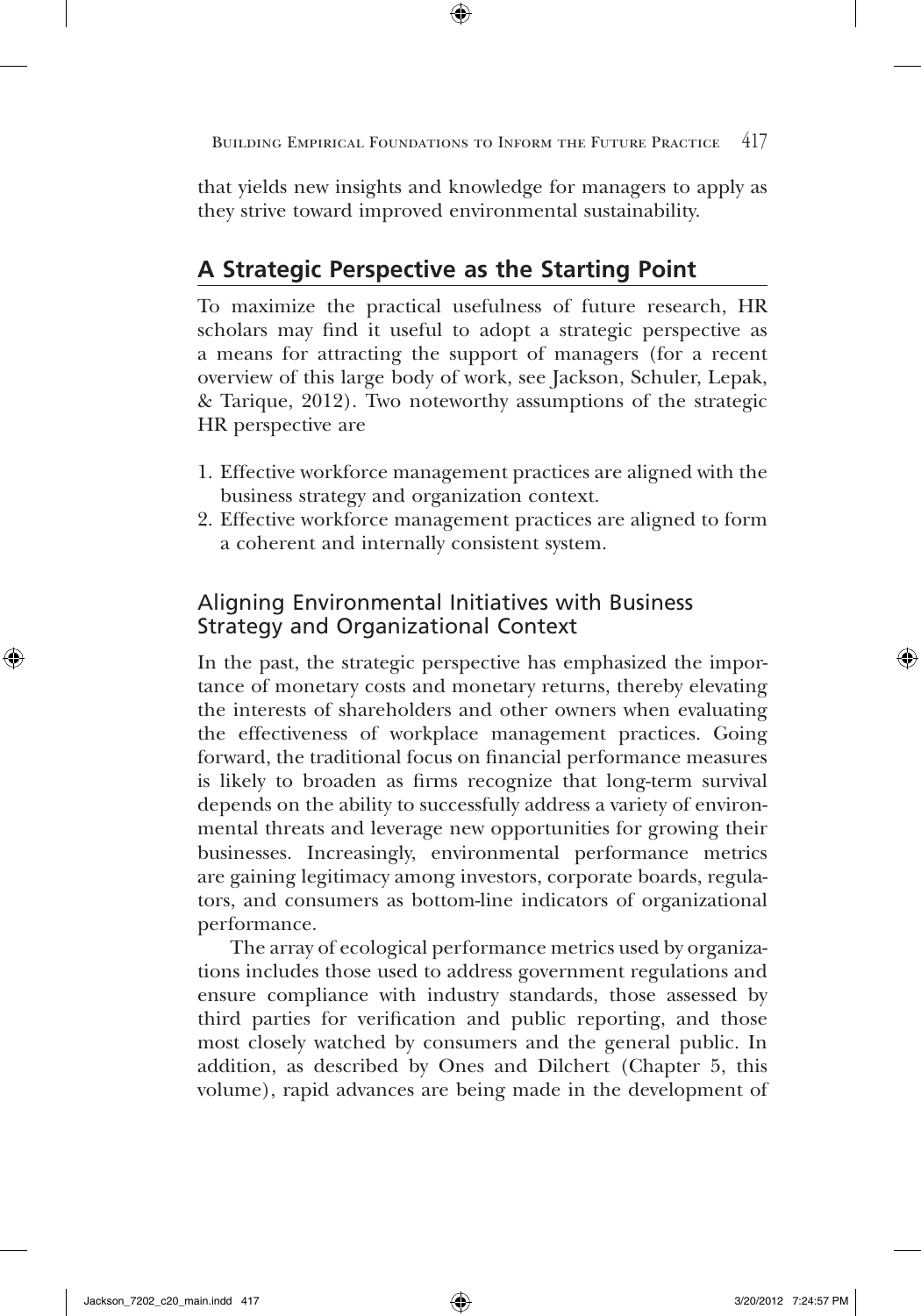that yields new insights and knowledge for managers to apply as they strive toward improved environmental sustainability.

# **A Strategic Perspective as the Starting Point**

To maximize the practical usefulness of future research, HR scholars may find it useful to adopt a strategic perspective as a means for attracting the support of managers (for a recent overview of this large body of work, see Jackson, Schuler, Lepak, & Tarique, 2012). Two noteworthy assumptions of the strategic HR perspective are

- 1. Effective workforce management practices are aligned with the business strategy and organization context.
- 2. Effective workforce management practices are aligned to form a coherent and internally consistent system.

# Aligning Environmental Initiatives with Business Strategy and Organizational Context

In the past, the strategic perspective has emphasized the importance of monetary costs and monetary returns, thereby elevating the interests of shareholders and other owners when evaluating the effectiveness of workplace management practices. Going forward, the traditional focus on financial performance measures is likely to broaden as firms recognize that long-term survival depends on the ability to successfully address a variety of environmental threats and leverage new opportunities for growing their businesses. Increasingly, environmental performance metrics are gaining legitimacy among investors, corporate boards, regulators, and consumers as bottom-line indicators of organizational performance.

The array of ecological performance metrics used by organizations includes those used to address government regulations and ensure compliance with industry standards, those assessed by third parties for verification and public reporting, and those most closely watched by consumers and the general public. In addition, as described by Ones and Dilchert (Chapter 5, this volume), rapid advances are being made in the development of

⊕

⇔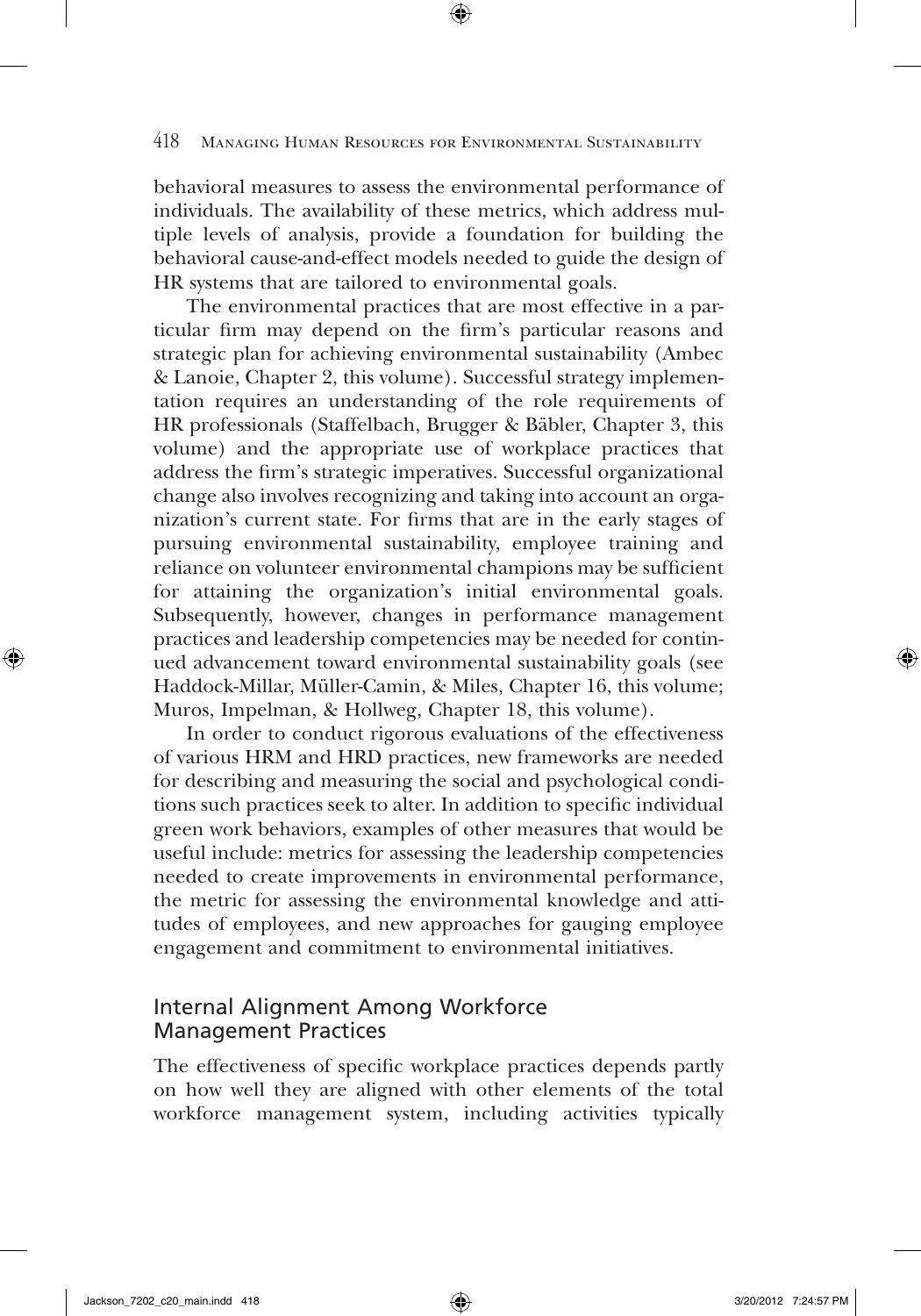⊕

behavioral measures to assess the environmental performance of individuals. The availability of these metrics, which address multiple levels of analysis, provide a foundation for building the behavioral cause-and-effect models needed to guide the design of HR systems that are tailored to environmental goals.

The environmental practices that are most effective in a particular firm may depend on the firm's particular reasons and strategic plan for achieving environmental sustainability (Ambec & Lanoie, Chapter 2, this volume). Successful strategy implementation requires an understanding of the role requirements of HR professionals (Staffelbach, Brugger & Bäbler, Chapter 3, this volume) and the appropriate use of workplace practices that address the firm's strategic imperatives. Successful organizational change also involves recognizing and taking into account an organization's current state. For firms that are in the early stages of pursuing environmental sustainability, employee training and reliance on volunteer environmental champions may be sufficient for attaining the organization's initial environmental goals. Subsequently, however, changes in performance management practices and leadership competencies may be needed for continued advancement toward environmental sustainability goals (see Haddock-Millar, Müller-Camin, & Miles, Chapter 16, this volume; Muros, Impelman, & Hollweg, Chapter 18, this volume).

In order to conduct rigorous evaluations of the effectiveness of various HRM and HRD practices, new frameworks are needed for describing and measuring the social and psychological conditions such practices seek to alter. In addition to specific individual green work behaviors, examples of other measures that would be useful include: metrics for assessing the leadership competencies needed to create improvements in environmental performance, the metric for assessing the environmental knowledge and attitudes of employees, and new approaches for gauging employee engagement and commitment to environmental initiatives.

## Internal Alignment Among Workforce Management Practices

The effectiveness of specific workplace practices depends partly on how well they are aligned with other elements of the total workforce management system, including activities typically

↔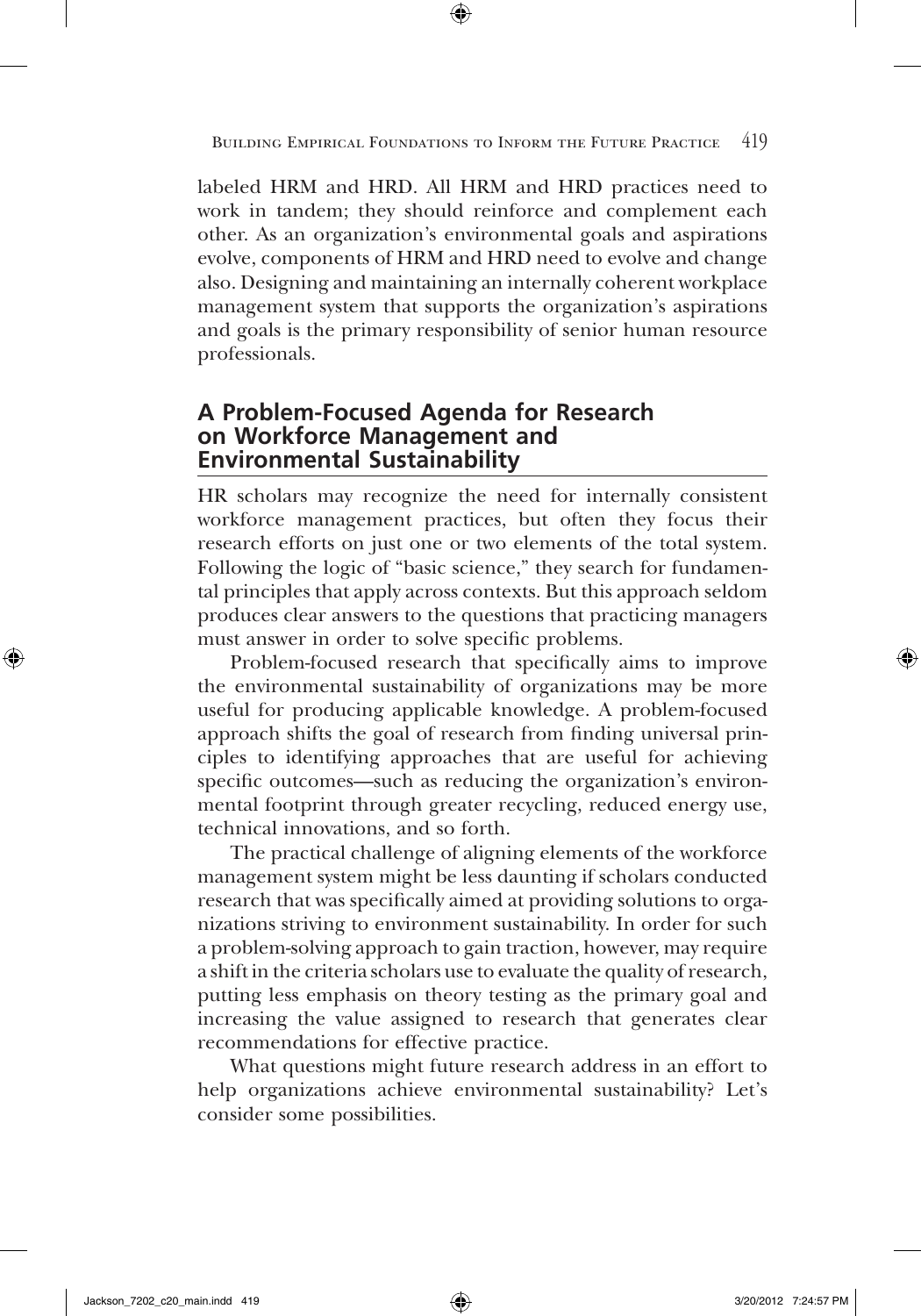labeled HRM and HRD. All HRM and HRD practices need to work in tandem; they should reinforce and complement each other. As an organization's environmental goals and aspirations evolve, components of HRM and HRD need to evolve and change also. Designing and maintaining an internally coherent workplace management system that supports the organization's aspirations and goals is the primary responsibility of senior human resource professionals.

# **A Problem-Focused Agenda for Research on Workforce Management and Environmental Sustainability**

HR scholars may recognize the need for internally consistent workforce management practices, but often they focus their research efforts on just one or two elements of the total system. Following the logic of "basic science," they search for fundamental principles that apply across contexts. But this approach seldom produces clear answers to the questions that practicing managers must answer in order to solve specific problems.

Problem-focused research that specifically aims to improve the environmental sustainability of organizations may be more useful for producing applicable knowledge. A problem-focused approach shifts the goal of research from finding universal principles to identifying approaches that are useful for achieving specific outcomes—such as reducing the organization's environmental footprint through greater recycling, reduced energy use, technical innovations, and so forth.

The practical challenge of aligning elements of the workforce management system might be less daunting if scholars conducted research that was specifically aimed at providing solutions to organizations striving to environment sustainability. In order for such a problem-solving approach to gain traction, however, may require a shift in the criteria scholars use to evaluate the quality of research, putting less emphasis on theory testing as the primary goal and increasing the value assigned to research that generates clear recommendations for effective practice.

What questions might future research address in an effort to help organizations achieve environmental sustainability? Let's consider some possibilities.

⊕

 $\Leftrightarrow$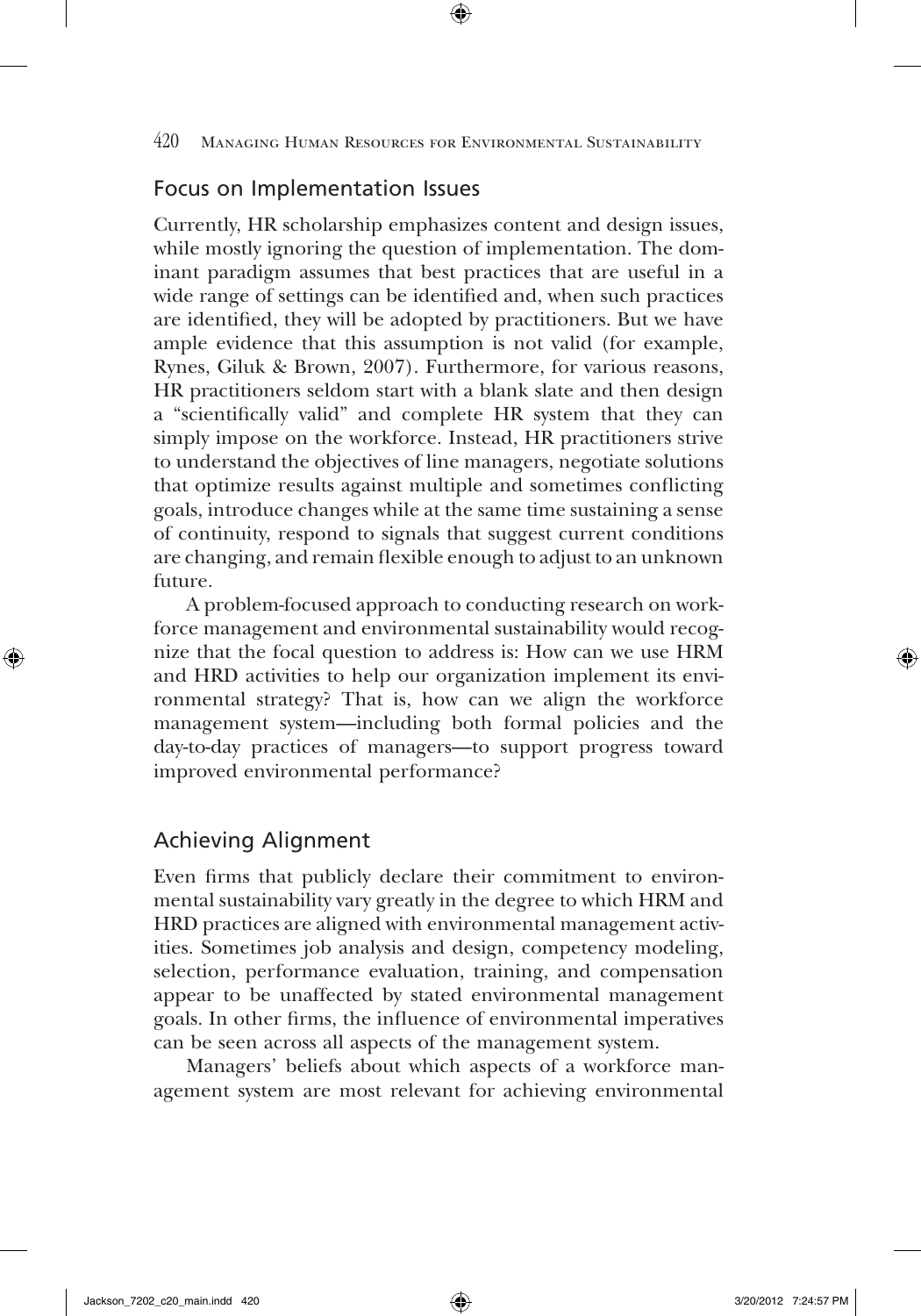⊕

## Focus on Implementation Issues

Currently, HR scholarship emphasizes content and design issues, while mostly ignoring the question of implementation. The dominant paradigm assumes that best practices that are useful in a wide range of settings can be identified and, when such practices are identified, they will be adopted by practitioners. But we have ample evidence that this assumption is not valid (for example, Rynes, Giluk & Brown, 2007). Furthermore, for various reasons, HR practitioners seldom start with a blank slate and then design a "scientifically valid" and complete HR system that they can simply impose on the workforce. Instead, HR practitioners strive to understand the objectives of line managers, negotiate solutions that optimize results against multiple and sometimes conflicting goals, introduce changes while at the same time sustaining a sense of continuity, respond to signals that suggest current conditions are changing, and remain flexible enough to adjust to an unknown future.

A problem-focused approach to conducting research on workforce management and environmental sustainability would recognize that the focal question to address is: How can we use HRM and HRD activities to help our organization implement its environmental strategy? That is, how can we align the workforce management system—including both formal policies and the day-to-day practices of managers—to support progress toward improved environmental performance?

## Achieving Alignment

↔

Even firms that publicly declare their commitment to environmental sustainability vary greatly in the degree to which HRM and HRD practices are aligned with environmental management activities. Sometimes job analysis and design, competency modeling, selection, performance evaluation, training, and compensation appear to be unaffected by stated environmental management goals. In other firms, the influence of environmental imperatives can be seen across all aspects of the management system.

Managers' beliefs about which aspects of a workforce management system are most relevant for achieving environmental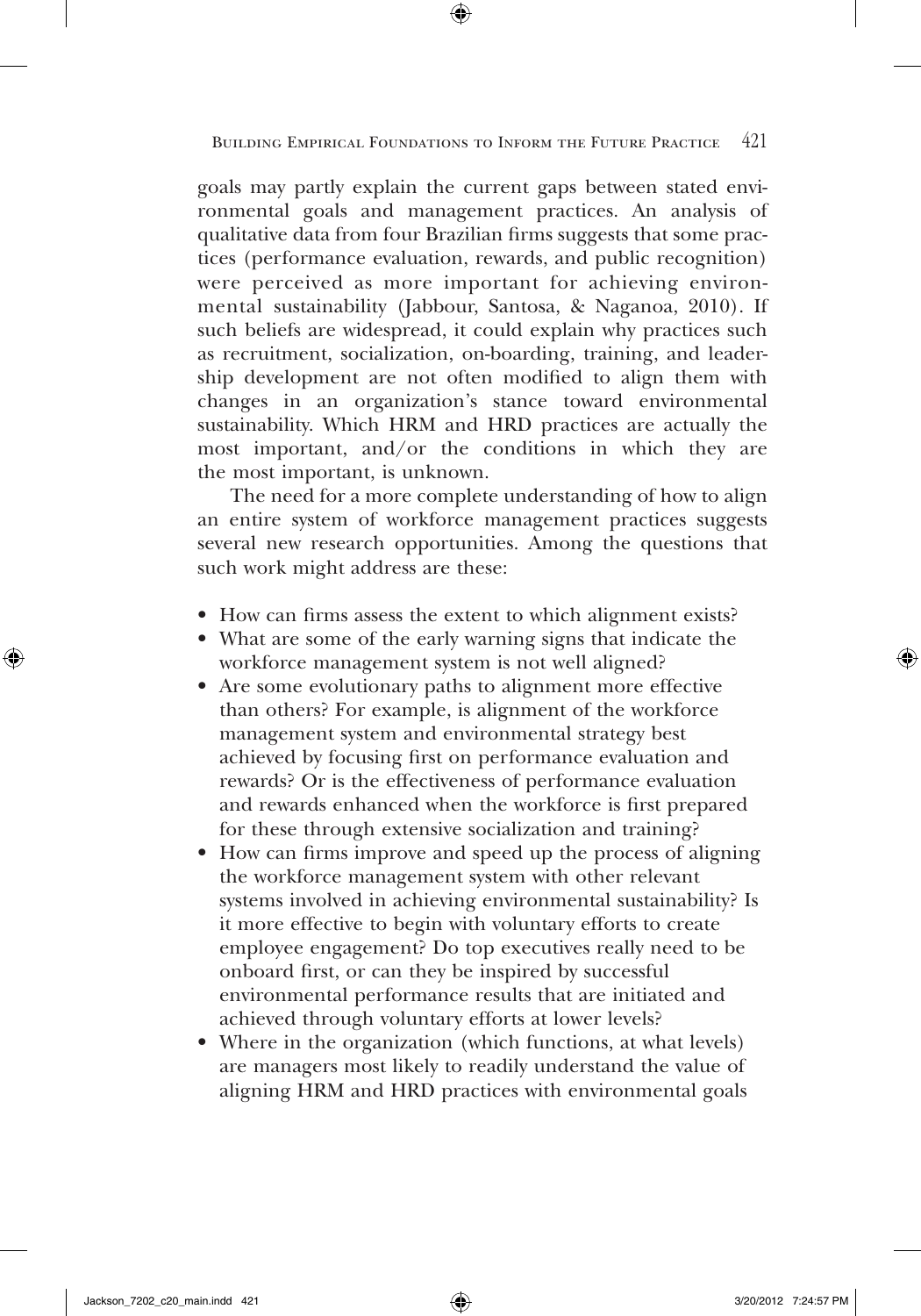#### BUILDING EMPIRICAL FOUNDATIONS TO INFORM THE FUTURE PRACTICE 421

⊕

goals may partly explain the current gaps between stated environmental goals and management practices. An analysis of qualitative data from four Brazilian firms suggests that some practices (performance evaluation, rewards, and public recognition) were perceived as more important for achieving environmental sustainability (Jabbour, Santosa, & Naganoa, 2010). If such beliefs are widespread, it could explain why practices such as recruitment, socialization, on-boarding, training, and leadership development are not often modified to align them with changes in an organization's stance toward environmental sustainability. Which HRM and HRD practices are actually the most important, and/or the conditions in which they are the most important, is unknown.

The need for a more complete understanding of how to align an entire system of workforce management practices suggests several new research opportunities. Among the questions that such work might address are these:

- How can firms assess the extent to which alignment exists?
- What are some of the early warning signs that indicate the workforce management system is not well aligned?
- Are some evolutionary paths to alignment more effective than others? For example, is alignment of the workforce management system and environmental strategy best achieved by focusing first on performance evaluation and rewards? Or is the effectiveness of performance evaluation and rewards enhanced when the workforce is first prepared for these through extensive socialization and training?
- How can firms improve and speed up the process of aligning the workforce management system with other relevant systems involved in achieving environmental sustainability? Is it more effective to begin with voluntary efforts to create employee engagement? Do top executives really need to be onboard first, or can they be inspired by successful environmental performance results that are initiated and achieved through voluntary efforts at lower levels?
- Where in the organization (which functions, at what levels) are managers most likely to readily understand the value of aligning HRM and HRD practices with environmental goals

↔

 $\Leftrightarrow$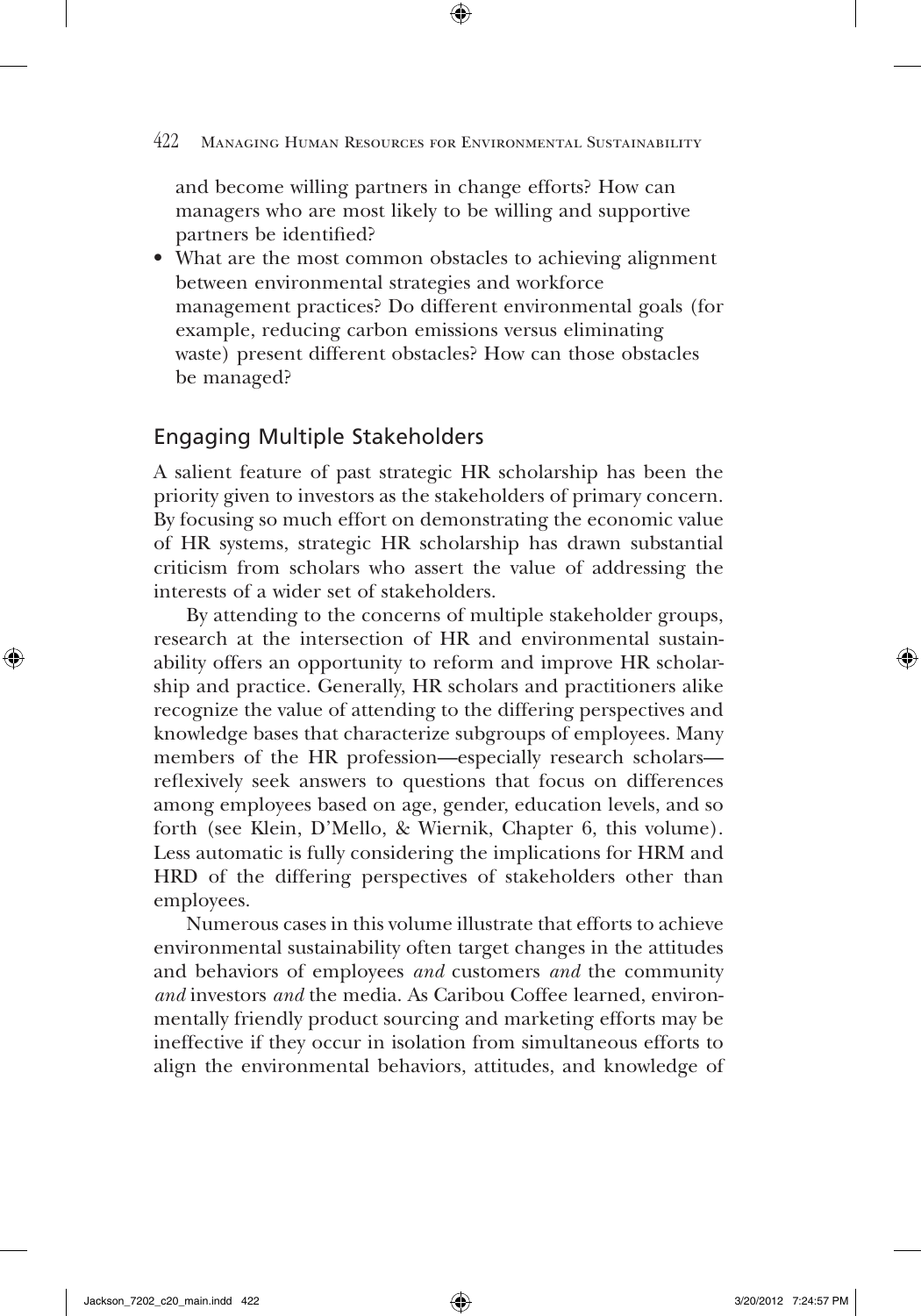⊕

and become willing partners in change efforts? How can managers who are most likely to be willing and supportive partners be identified?

• What are the most common obstacles to achieving alignment between environmental strategies and workforce management practices? Do different environmental goals (for example, reducing carbon emissions versus eliminating waste) present different obstacles? How can those obstacles be managed?

## Engaging Multiple Stakeholders

A salient feature of past strategic HR scholarship has been the priority given to investors as the stakeholders of primary concern. By focusing so much effort on demonstrating the economic value of HR systems, strategic HR scholarship has drawn substantial criticism from scholars who assert the value of addressing the interests of a wider set of stakeholders.

By attending to the concerns of multiple stakeholder groups, research at the intersection of HR and environmental sustainability offers an opportunity to reform and improve HR scholarship and practice. Generally, HR scholars and practitioners alike recognize the value of attending to the differing perspectives and knowledge bases that characterize subgroups of employees. Many members of the HR profession—especially research scholars reflexively seek answers to questions that focus on differences among employees based on age, gender, education levels, and so forth (see Klein, D'Mello, & Wiernik, Chapter 6, this volume). Less automatic is fully considering the implications for HRM and HRD of the differing perspectives of stakeholders other than employees.

Numerous cases in this volume illustrate that efforts to achieve environmental sustainability often target changes in the attitudes and behaviors of employees *and* customers *and* the community *and* investors *and* the media. As Caribou Coffee learned, environmentally friendly product sourcing and marketing efforts may be ineffective if they occur in isolation from simultaneous efforts to align the environmental behaviors, attitudes, and knowledge of

⊕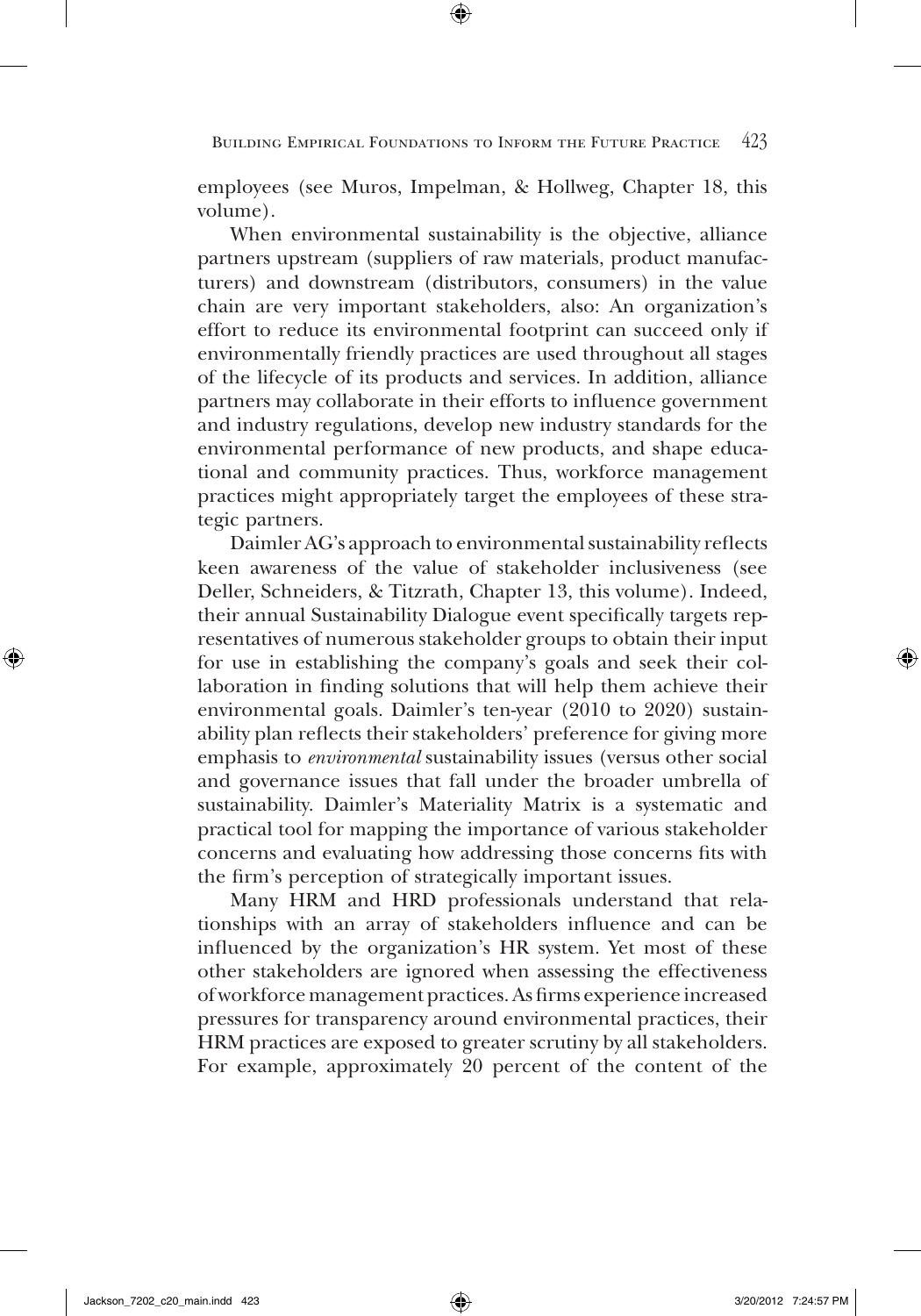employees (see Muros, Impelman, & Hollweg, Chapter 18, this volume).

When environmental sustainability is the objective, alliance partners upstream (suppliers of raw materials, product manufacturers) and downstream (distributors, consumers) in the value chain are very important stakeholders, also: An organization's effort to reduce its environmental footprint can succeed only if environmentally friendly practices are used throughout all stages of the lifecycle of its products and services. In addition, alliance partners may collaborate in their efforts to influence government and industry regulations, develop new industry standards for the environmental performance of new products, and shape educational and community practices. Thus, workforce management practices might appropriately target the employees of these strategic partners.

Daimler AG's approach to environmental sustainability reflects keen awareness of the value of stakeholder inclusiveness (see Deller, Schneiders, & Titzrath, Chapter 13, this volume). Indeed, their annual Sustainability Dialogue event specifically targets representatives of numerous stakeholder groups to obtain their input for use in establishing the company's goals and seek their collaboration in finding solutions that will help them achieve their environmental goals. Daimler's ten-year (2010 to 2020) sustainability plan reflects their stakeholders' preference for giving more emphasis to *environmental* sustainability issues (versus other social and governance issues that fall under the broader umbrella of sustainability. Daimler's Materiality Matrix is a systematic and practical tool for mapping the importance of various stakeholder concerns and evaluating how addressing those concerns fits with the firm's perception of strategically important issues.

Many HRM and HRD professionals understand that relationships with an array of stakeholders influence and can be influenced by the organization's HR system. Yet most of these other stakeholders are ignored when assessing the effectiveness of workforce management practices. As firms experience increased pressures for transparency around environmental practices, their HRM practices are exposed to greater scrutiny by all stakeholders. For example, approximately 20 percent of the content of the

⊕

 $\Leftrightarrow$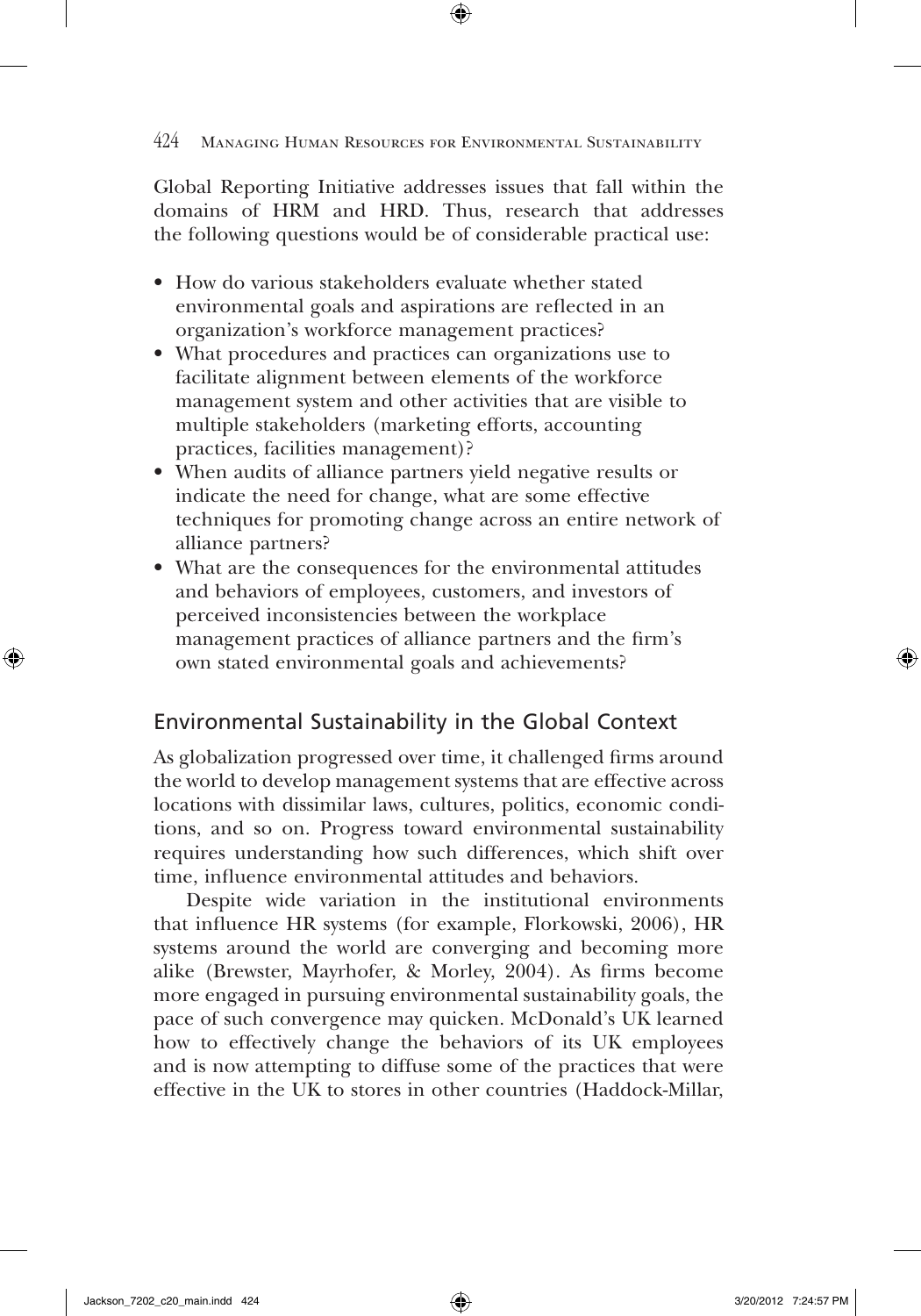⊕

Global Reporting Initiative addresses issues that fall within the domains of HRM and HRD. Thus, research that addresses the following questions would be of considerable practical use:

- How do various stakeholders evaluate whether stated environmental goals and aspirations are reflected in an organization's workforce management practices?
- What procedures and practices can organizations use to facilitate alignment between elements of the workforce management system and other activities that are visible to multiple stakeholders (marketing efforts, accounting practices, facilities management)?
- When audits of alliance partners yield negative results or indicate the need for change, what are some effective techniques for promoting change across an entire network of alliance partners?
- What are the consequences for the environmental attitudes and behaviors of employees, customers, and investors of perceived inconsistencies between the workplace management practices of alliance partners and the firm's own stated environmental goals and achievements?

## Environmental Sustainability in the Global Context

As globalization progressed over time, it challenged firms around the world to develop management systems that are effective across locations with dissimilar laws, cultures, politics, economic conditions, and so on. Progress toward environmental sustainability requires understanding how such differences, which shift over time, influence environmental attitudes and behaviors.

Despite wide variation in the institutional environments that influence HR systems (for example, Florkowski, 2006), HR systems around the world are converging and becoming more alike (Brewster, Mayrhofer, & Morley, 2004). As firms become more engaged in pursuing environmental sustainability goals, the pace of such convergence may quicken. McDonald's UK learned how to effectively change the behaviors of its UK employees and is now attempting to diffuse some of the practices that were effective in the UK to stores in other countries (Haddock-Millar,

⊕

⊕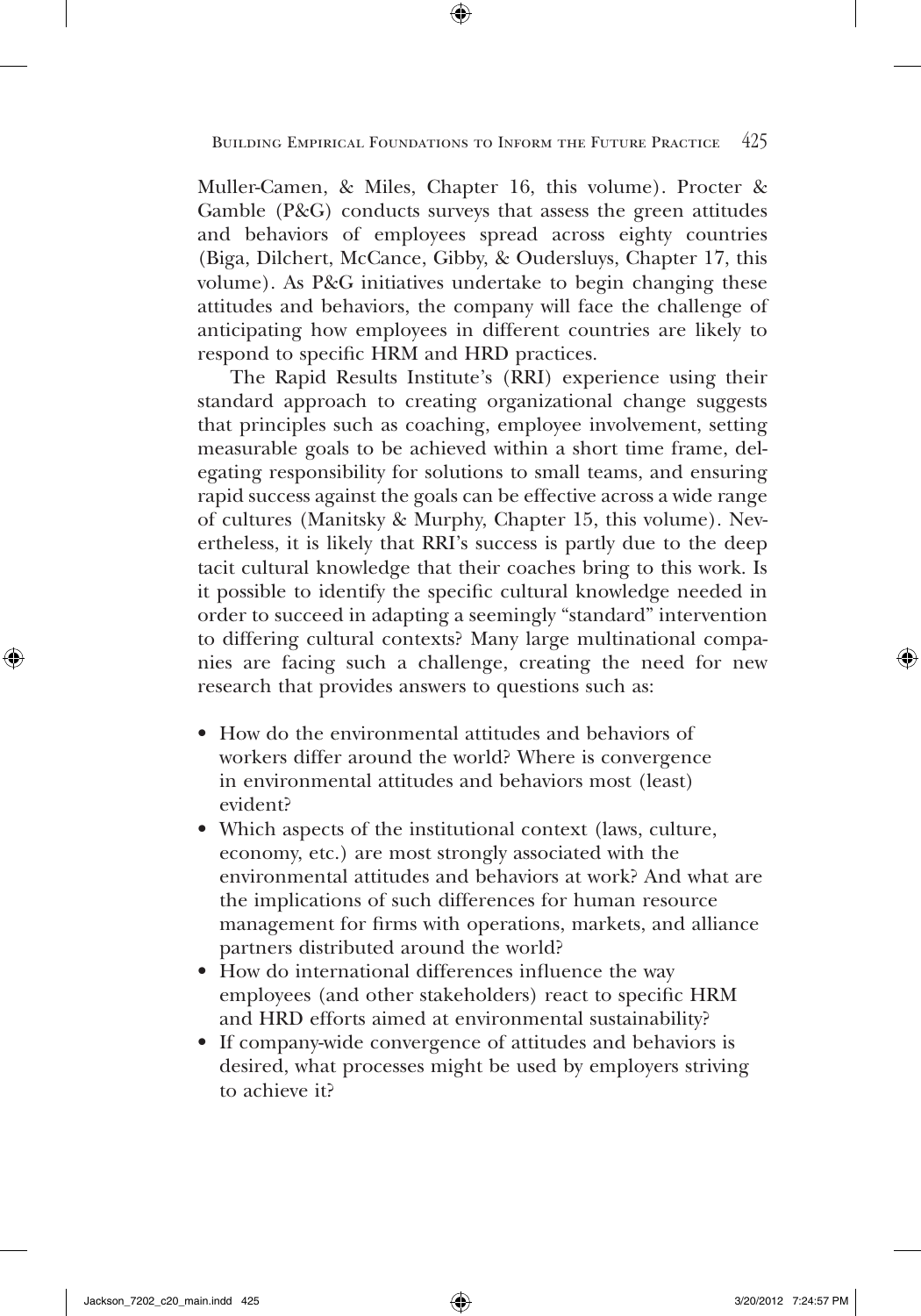#### Building Empirical Foundations to Inform the Future Practice 425

⊕

Muller-Camen, & Miles, Chapter 16, this volume). Procter & Gamble (P&G) conducts surveys that assess the green attitudes and behaviors of employees spread across eighty countries (Biga, Dilchert, McCance, Gibby, & Oudersluys, Chapter 17, this volume). As P&G initiatives undertake to begin changing these attitudes and behaviors, the company will face the challenge of anticipating how employees in different countries are likely to respond to specific HRM and HRD practices.

The Rapid Results Institute's (RRI) experience using their standard approach to creating organizational change suggests that principles such as coaching, employee involvement, setting measurable goals to be achieved within a short time frame, delegating responsibility for solutions to small teams, and ensuring rapid success against the goals can be effective across a wide range of cultures (Manitsky & Murphy, Chapter 15, this volume). Nevertheless, it is likely that RRI's success is partly due to the deep tacit cultural knowledge that their coaches bring to this work. Is it possible to identify the specific cultural knowledge needed in order to succeed in adapting a seemingly "standard" intervention to differing cultural contexts? Many large multinational companies are facing such a challenge, creating the need for new research that provides answers to questions such as:

- How do the environmental attitudes and behaviors of workers differ around the world? Where is convergence in environmental attitudes and behaviors most (least) evident?
- Which aspects of the institutional context (laws, culture, economy, etc.) are most strongly associated with the environmental attitudes and behaviors at work? And what are the implications of such differences for human resource management for firms with operations, markets, and alliance partners distributed around the world?
- How do international differences influence the way employees (and other stakeholders) react to specific HRM and HRD efforts aimed at environmental sustainability?
- If company-wide convergence of attitudes and behaviors is desired, what processes might be used by employers striving to achieve it?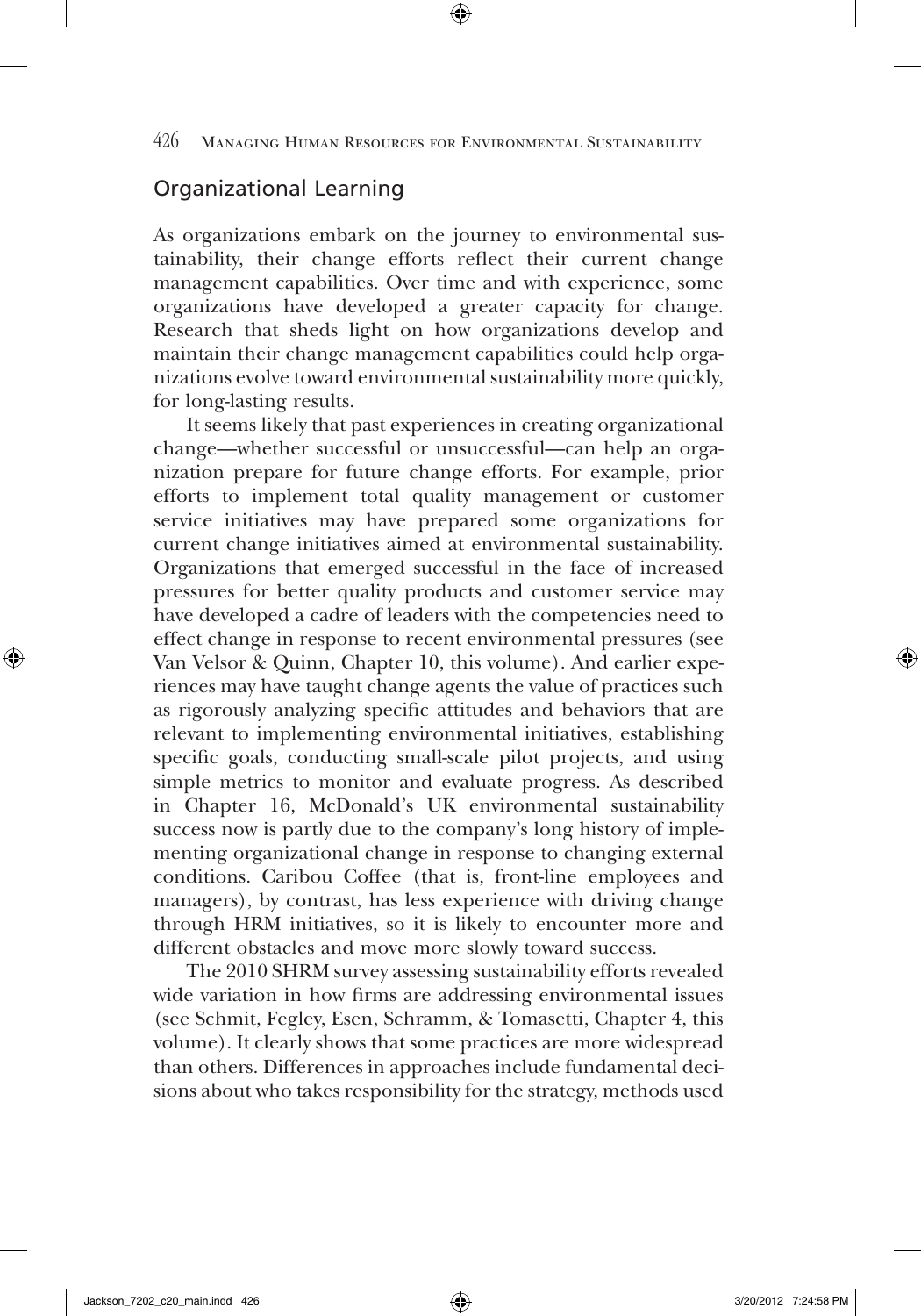⊕

## Organizational Learning

As organizations embark on the journey to environmental sustainability, their change efforts reflect their current change management capabilities. Over time and with experience, some organizations have developed a greater capacity for change. Research that sheds light on how organizations develop and maintain their change management capabilities could help organizations evolve toward environmental sustainability more quickly, for long-lasting results.

It seems likely that past experiences in creating organizational change—whether successful or unsuccessful—can help an organization prepare for future change efforts. For example, prior efforts to implement total quality management or customer service initiatives may have prepared some organizations for current change initiatives aimed at environmental sustainability. Organizations that emerged successful in the face of increased pressures for better quality products and customer service may have developed a cadre of leaders with the competencies need to effect change in response to recent environmental pressures (see Van Velsor & Quinn, Chapter 10, this volume). And earlier experiences may have taught change agents the value of practices such as rigorously analyzing specific attitudes and behaviors that are relevant to implementing environmental initiatives, establishing specific goals, conducting small-scale pilot projects, and using simple metrics to monitor and evaluate progress. As described in Chapter 16, McDonald's UK environmental sustainability success now is partly due to the company's long history of implementing organizational change in response to changing external conditions. Caribou Coffee (that is, front-line employees and managers), by contrast, has less experience with driving change through HRM initiatives, so it is likely to encounter more and different obstacles and move more slowly toward success.

The 2010 SHRM survey assessing sustainability efforts revealed wide variation in how firms are addressing environmental issues (see Schmit, Fegley, Esen, Schramm, & Tomasetti, Chapter 4, this volume). It clearly shows that some practices are more widespread than others. Differences in approaches include fundamental decisions about who takes responsibility for the strategy, methods used

⊕

⊕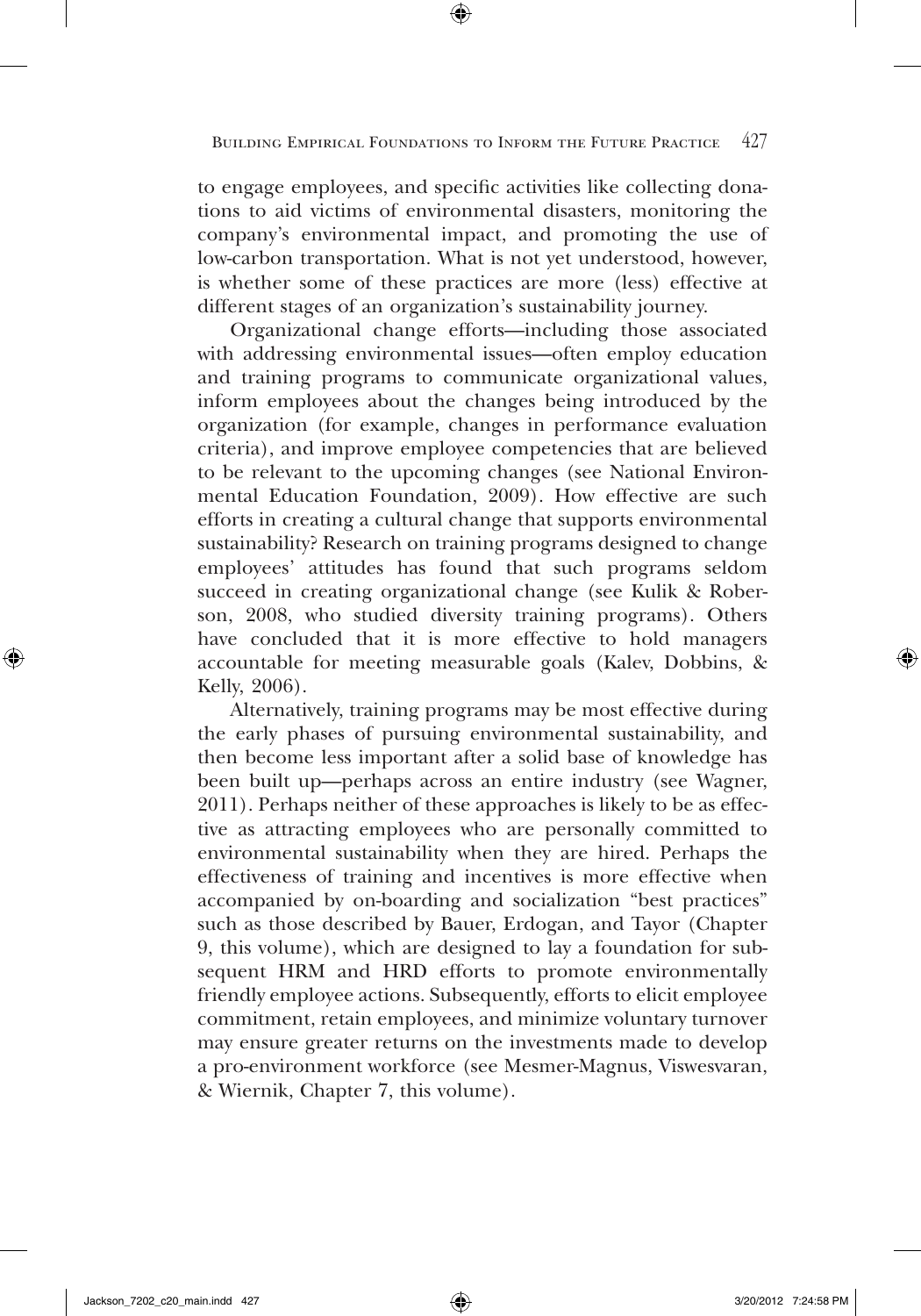to engage employees, and specific activities like collecting donations to aid victims of environmental disasters, monitoring the company's environmental impact, and promoting the use of low-carbon transportation. What is not yet understood, however, is whether some of these practices are more (less) effective at different stages of an organization's sustainability journey.

Organizational change efforts—including those associated with addressing environmental issues—often employ education and training programs to communicate organizational values, inform employees about the changes being introduced by the organization (for example, changes in performance evaluation criteria), and improve employee competencies that are believed to be relevant to the upcoming changes (see National Environmental Education Foundation, 2009). How effective are such efforts in creating a cultural change that supports environmental sustainability? Research on training programs designed to change employees' attitudes has found that such programs seldom succeed in creating organizational change (see Kulik & Roberson, 2008, who studied diversity training programs). Others have concluded that it is more effective to hold managers accountable for meeting measurable goals (Kalev, Dobbins, & Kelly, 2006).

Alternatively, training programs may be most effective during the early phases of pursuing environmental sustainability, and then become less important after a solid base of knowledge has been built up—perhaps across an entire industry (see Wagner, 2011). Perhaps neither of these approaches is likely to be as effective as attracting employees who are personally committed to environmental sustainability when they are hired. Perhaps the effectiveness of training and incentives is more effective when accompanied by on-boarding and socialization "best practices" such as those described by Bauer, Erdogan, and Tayor (Chapter 9, this volume), which are designed to lay a foundation for subsequent HRM and HRD efforts to promote environmentally friendly employee actions. Subsequently, efforts to elicit employee commitment, retain employees, and minimize voluntary turnover may ensure greater returns on the investments made to develop a pro-environment workforce (see Mesmer-Magnus, Viswesvaran, & Wiernik, Chapter 7, this volume).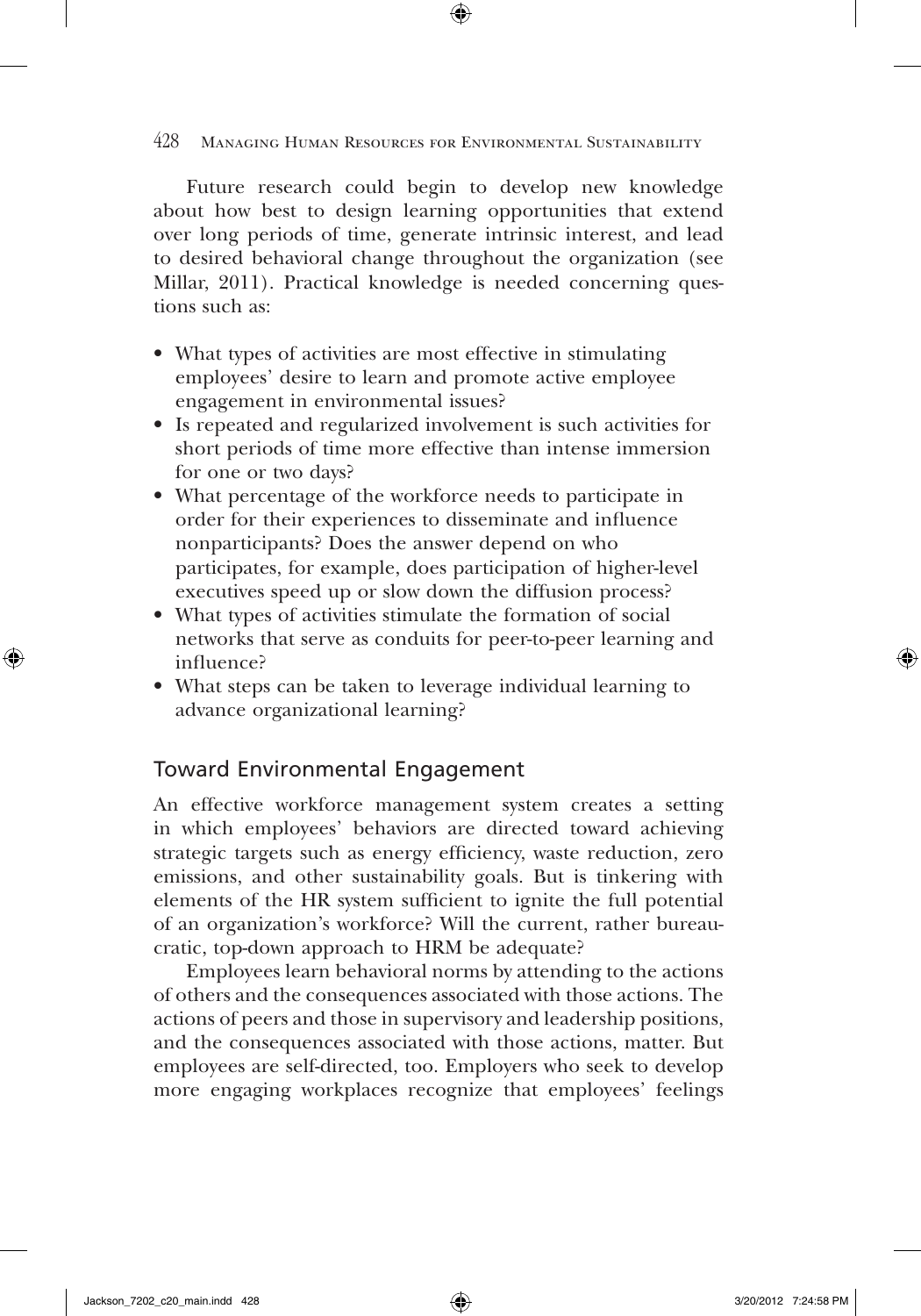⊕

Future research could begin to develop new knowledge about how best to design learning opportunities that extend over long periods of time, generate intrinsic interest, and lead to desired behavioral change throughout the organization (see Millar, 2011). Practical knowledge is needed concerning questions such as:

- What types of activities are most effective in stimulating employees' desire to learn and promote active employee engagement in environmental issues?
- Is repeated and regularized involvement is such activities for short periods of time more effective than intense immersion for one or two days?
- What percentage of the workforce needs to participate in order for their experiences to disseminate and influence nonparticipants? Does the answer depend on who participates, for example, does participation of higher-level executives speed up or slow down the diffusion process?
- What types of activities stimulate the formation of social networks that serve as conduits for peer-to-peer learning and influence?
- What steps can be taken to leverage individual learning to advance organizational learning?

## Toward Environmental Engagement

An effective workforce management system creates a setting in which employees' behaviors are directed toward achieving strategic targets such as energy efficiency, waste reduction, zero emissions, and other sustainability goals. But is tinkering with elements of the HR system sufficient to ignite the full potential of an organization's workforce? Will the current, rather bureaucratic, top-down approach to HRM be adequate?

Employees learn behavioral norms by attending to the actions of others and the consequences associated with those actions. The actions of peers and those in supervisory and leadership positions, and the consequences associated with those actions, matter. But employees are self-directed, too. Employers who seek to develop more engaging workplaces recognize that employees' feelings

↔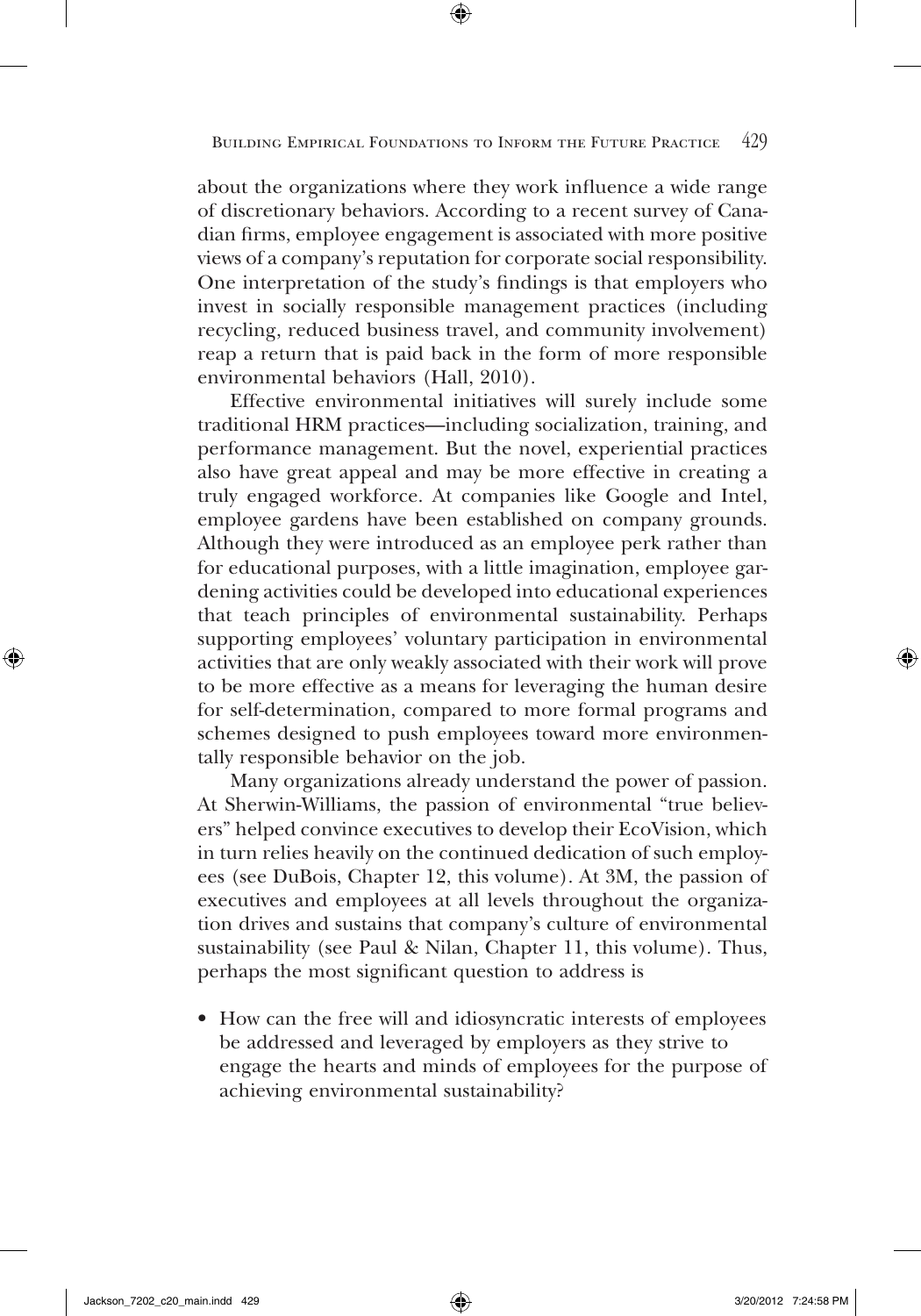about the organizations where they work influence a wide range of discretionary behaviors. According to a recent survey of Canadian firms, employee engagement is associated with more positive views of a company's reputation for corporate social responsibility. One interpretation of the study's findings is that employers who invest in socially responsible management practices (including recycling, reduced business travel, and community involvement) reap a return that is paid back in the form of more responsible environmental behaviors (Hall, 2010).

Effective environmental initiatives will surely include some traditional HRM practices—including socialization, training, and performance management. But the novel, experiential practices also have great appeal and may be more effective in creating a truly engaged workforce. At companies like Google and Intel, employee gardens have been established on company grounds. Although they were introduced as an employee perk rather than for educational purposes, with a little imagination, employee gardening activities could be developed into educational experiences that teach principles of environmental sustainability. Perhaps supporting employees' voluntary participation in environmental activities that are only weakly associated with their work will prove to be more effective as a means for leveraging the human desire for self-determination, compared to more formal programs and schemes designed to push employees toward more environmentally responsible behavior on the job.

Many organizations already understand the power of passion. At Sherwin-Williams, the passion of environmental "true believers" helped convince executives to develop their EcoVision, which in turn relies heavily on the continued dedication of such employees (see DuBois, Chapter 12, this volume). At 3M, the passion of executives and employees at all levels throughout the organization drives and sustains that company's culture of environmental sustainability (see Paul & Nilan, Chapter 11, this volume). Thus, perhaps the most significant question to address is

• How can the free will and idiosyncratic interests of employees be addressed and leveraged by employers as they strive to engage the hearts and minds of employees for the purpose of achieving environmental sustainability?

⊕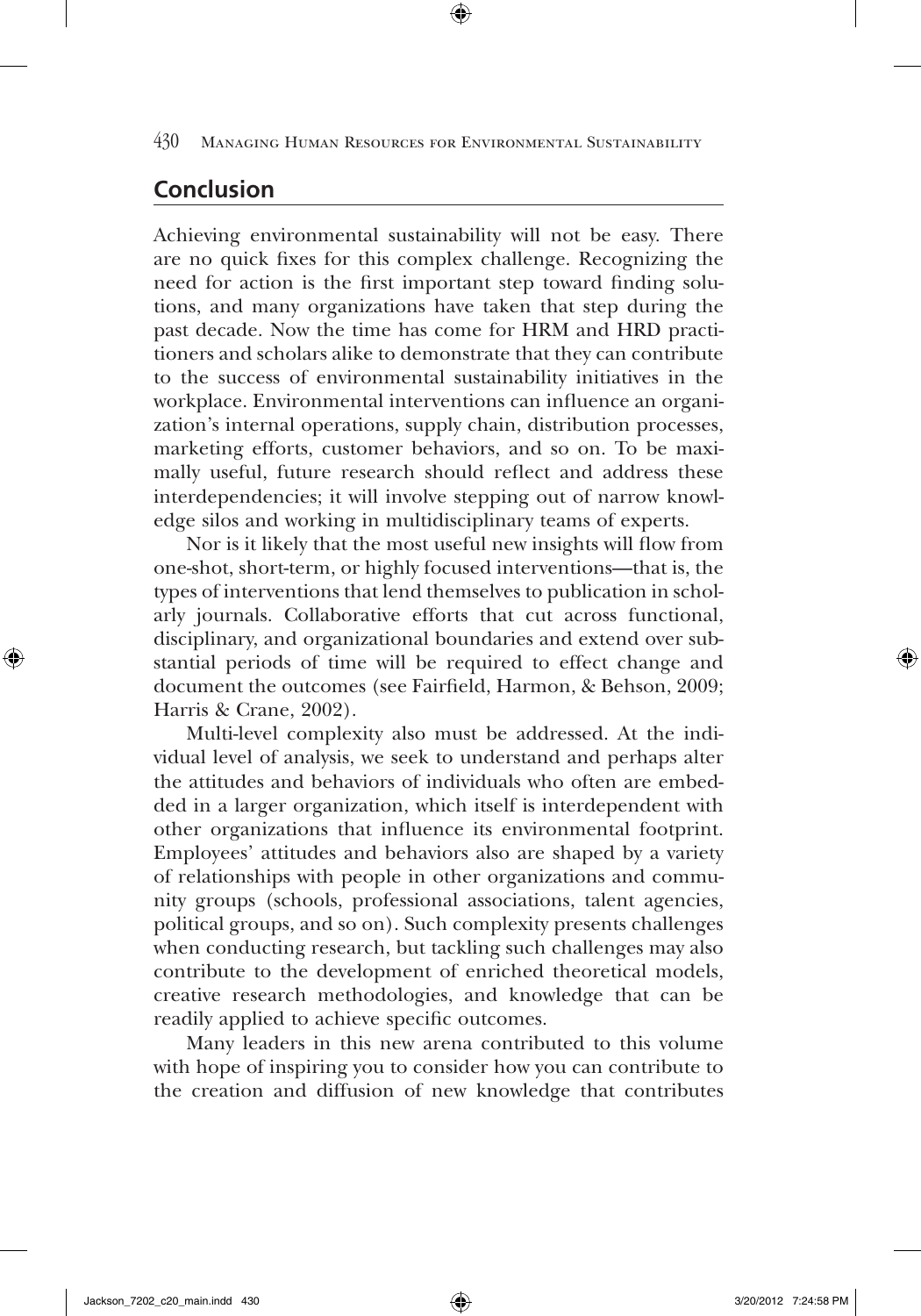⊕

# **Conclusion**

Achieving environmental sustainability will not be easy. There are no quick fixes for this complex challenge. Recognizing the need for action is the first important step toward finding solutions, and many organizations have taken that step during the past decade. Now the time has come for HRM and HRD practitioners and scholars alike to demonstrate that they can contribute to the success of environmental sustainability initiatives in the workplace. Environmental interventions can influence an organization's internal operations, supply chain, distribution processes, marketing efforts, customer behaviors, and so on. To be maximally useful, future research should reflect and address these interdependencies; it will involve stepping out of narrow knowledge silos and working in multidisciplinary teams of experts.

Nor is it likely that the most useful new insights will flow from one-shot, short-term, or highly focused interventions—that is, the types of interventions that lend themselves to publication in scholarly journals. Collaborative efforts that cut across functional, disciplinary, and organizational boundaries and extend over substantial periods of time will be required to effect change and document the outcomes (see Fairfield, Harmon, & Behson, 2009; Harris & Crane, 2002).

Multi-level complexity also must be addressed. At the individual level of analysis, we seek to understand and perhaps alter the attitudes and behaviors of individuals who often are embedded in a larger organization, which itself is interdependent with other organizations that influence its environmental footprint. Employees' attitudes and behaviors also are shaped by a variety of relationships with people in other organizations and community groups (schools, professional associations, talent agencies, political groups, and so on). Such complexity presents challenges when conducting research, but tackling such challenges may also contribute to the development of enriched theoretical models, creative research methodologies, and knowledge that can be readily applied to achieve specific outcomes.

Many leaders in this new arena contributed to this volume with hope of inspiring you to consider how you can contribute to the creation and diffusion of new knowledge that contributes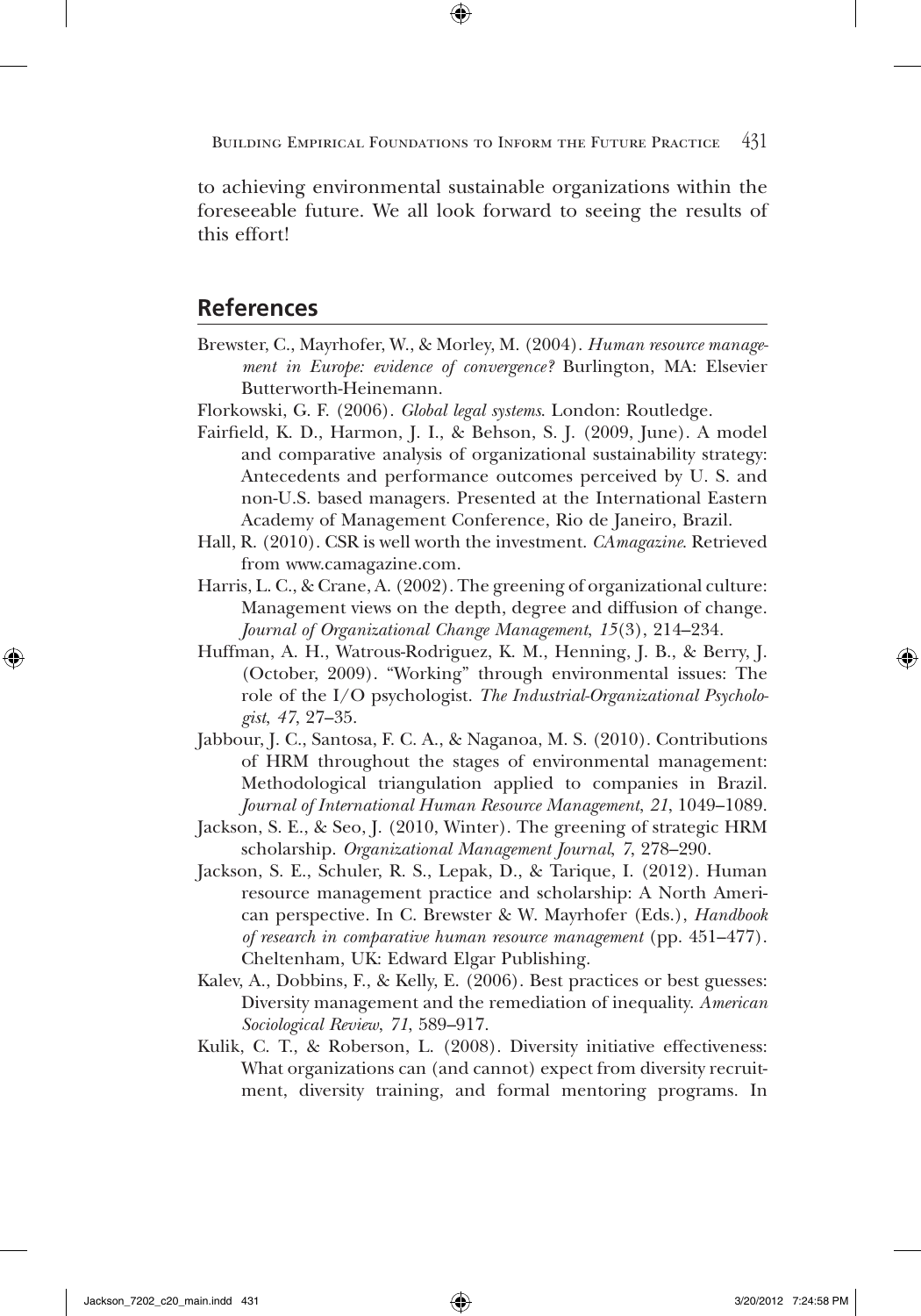to achieving environmental sustainable organizations within the foreseeable future. We all look forward to seeing the results of this effort!

## **References**

- Brewster, C., Mayrhofer, W., & Morley, M. (2004). *Human resource management in Europe: evidence of convergence?* Burlington, MA: Elsevier Butterworth-Heinemann.
- Florkowski, G. F. (2006). *Global legal systems*. London: Routledge.
- Fairfield, K. D., Harmon, J. I., & Behson, S. J. (2009, June). A model and comparative analysis of organizational sustainability strategy: Antecedents and performance outcomes perceived by U. S. and non-U.S. based managers. Presented at the International Eastern Academy of Management Conference, Rio de Janeiro, Brazil.
- Hall, R. (2010). CSR is well worth the investment. *CAmagazine*. Retrieved from www.camagazine.com.
- Harris, L. C., & Crane, A. (2002). The greening of organizational culture: Management views on the depth, degree and diffusion of change. *Journal of Organizational Change Management*, *15*(3), 214–234.
- Huffman, A. H., Watrous-Rodriguez, K. M., Henning, J. B., & Berry, J. (October, 2009). "Working" through environmental issues: The role of the I/O psychologist. *The Industrial-Organizational Psychologist*, *47*, 27–35.
- Jabbour, J. C., Santosa, F. C. A., & Naganoa, M. S. (2010). Contributions of HRM throughout the stages of environmental management: Methodological triangulation applied to companies in Brazil. *Journal of International Human Resource Management*, *21*, 1049–1089.
- Jackson, S. E., & Seo, J. (2010, Winter). The greening of strategic HRM scholarship. *Organizational Management Journal*, *7*, 278–290.
- Jackson, S. E., Schuler, R. S., Lepak, D., & Tarique, I. (2012). Human resource management practice and scholarship: A North American perspective. In C. Brewster & W. Mayrhofer (Eds.), *Handbook of research in comparative human resource management* (pp. 451–477). Cheltenham, UK: Edward Elgar Publishing.
- Kalev, A., Dobbins, F., & Kelly, E. (2006). Best practices or best guesses: Diversity management and the remediation of inequality. *American Sociological Review*, *71*, 589–917.
- Kulik, C. T., & Roberson, L. (2008). Diversity initiative effectiveness: What organizations can (and cannot) expect from diversity recruitment, diversity training, and formal mentoring programs. In

⊕

 $\leftrightarrow$